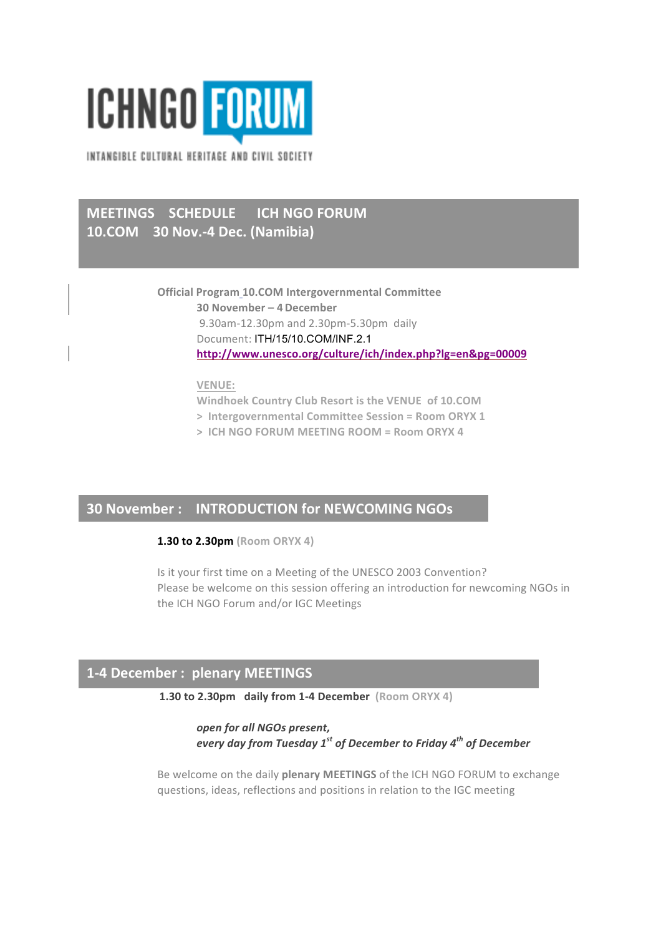

INTANGIBLE CULTURAL HERITAGE AND CIVIL SOCIETY

# **MEETINGS SCHEDULE ICH NGO FORUM 10.COM 30 Nov.-4 Dec. (Namibia)**

**Official Program 10.COM Intergovernmental Committee 30 November – 4December** 9.30am-12.30pm and 2.30pm-5.30pm daily Document: ITH/15/10.COM/INF.2.1 **http://www.unesco.org/culture/ich/index.php?lg=en&pg=00009**

### **VENUE:**

**Windhoek Country Club Resort is the VENUE of 10.COM** 

- > Intergovernmental Committee Session = Room ORYX 1
- > ICH NGO FORUM MEETING ROOM = Room ORYX 4

## **30 November: INTRODUCTION for NEWCOMING NGOs**

**1.30 to 2.30pm** (Room ORYX 4)

Is it your first time on a Meeting of the UNESCO 2003 Convention? Please be welcome on this session offering an introduction for newcoming NGOs in the ICH NGO Forum and/or IGC Meetings

### **1-4 December: plenary MEETINGS**

**1.30 to 2.30pm daily from 1-4 December** (Room ORYX 4)

**open** for all NGOs present, *every day from Tuesday 1st of December to Friday 4th of December*

Be welcome on the daily **plenary MEETINGS** of the ICH NGO FORUM to exchange questions, ideas, reflections and positions in relation to the IGC meeting